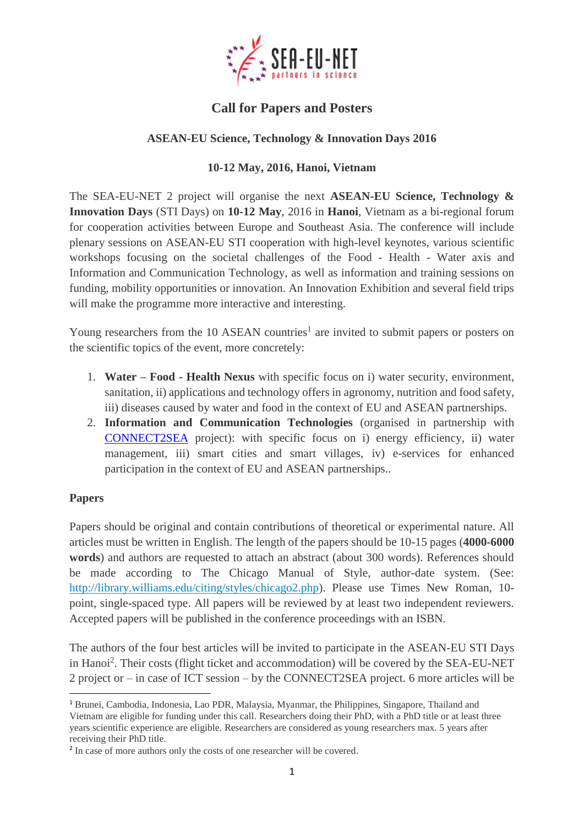

# **Call for Papers and Posters**

## **ASEAN-EU Science, Technology & Innovation Days 2016**

#### **10-12 May, 2016, Hanoi, Vietnam**

The SEA-EU-NET 2 project will organise the next **ASEAN-EU Science, Technology & Innovation Days** (STI Days) on **10-12 May**, 2016 in **Hanoi**, Vietnam as a bi-regional forum for cooperation activities between Europe and Southeast Asia. The conference will include plenary sessions on ASEAN-EU STI cooperation with high-level keynotes, various scientific workshops focusing on the societal challenges of the Food - Health - Water axis and Information and Communication Technology, as well as information and training sessions on funding, mobility opportunities or innovation. An Innovation Exhibition and several field trips will make the programme more interactive and interesting.

Young researchers from the  $10$  ASEAN countries<sup>1</sup> are invited to submit papers or posters on the scientific topics of the event, more concretely:

- 1. **Water – Food - Health Nexus** with specific focus on i) water security, environment, sanitation, ii) applications and technology offers in agronomy, nutrition and food safety, iii) diseases caused by water and food in the context of EU and ASEAN partnerships.
- 2. **Information and Communication Technologies** (organised in partnership with [CONNECT2SEA](http://www.connect2sea.eu/) project): with specific focus on i) energy efficiency, ii) water management, iii) smart cities and smart villages, iv) e-services for enhanced participation in the context of EU and ASEAN partnerships..

#### **Papers**

1

Papers should be original and contain contributions of theoretical or experimental nature. All articles must be written in English. The length of the papers should be 10-15 pages (**4000-6000 words**) and authors are requested to attach an abstract (about 300 words). References should be made according to The Chicago Manual of Style, author-date system. (See: [http://library.williams.edu/citing/styles/chicago2.php\)](http://library.williams.edu/citing/styles/chicago2.php). Please use Times New Roman, 10 point, single-spaced type. All papers will be reviewed by at least two independent reviewers. Accepted papers will be published in the conference proceedings with an ISBN.

The authors of the four best articles will be invited to participate in the ASEAN-EU STI Days in Hanoi<sup>2</sup>. Their costs (flight ticket and accommodation) will be covered by the SEA-EU-NET 2 project or – in case of ICT session – by the CONNECT2SEA project. 6 more articles will be

<sup>1</sup> Brunei, Cambodia, Indonesia, Lao PDR, Malaysia, Myanmar, the Philippines, Singapore, Thailand and Vietnam are eligible for funding under this call. Researchers doing their PhD, with a PhD title or at least three years scientific experience are eligible. Researchers are considered as young researchers max. 5 years after receiving their PhD title.

<sup>&</sup>lt;sup>2</sup> In case of more authors only the costs of one researcher will be covered.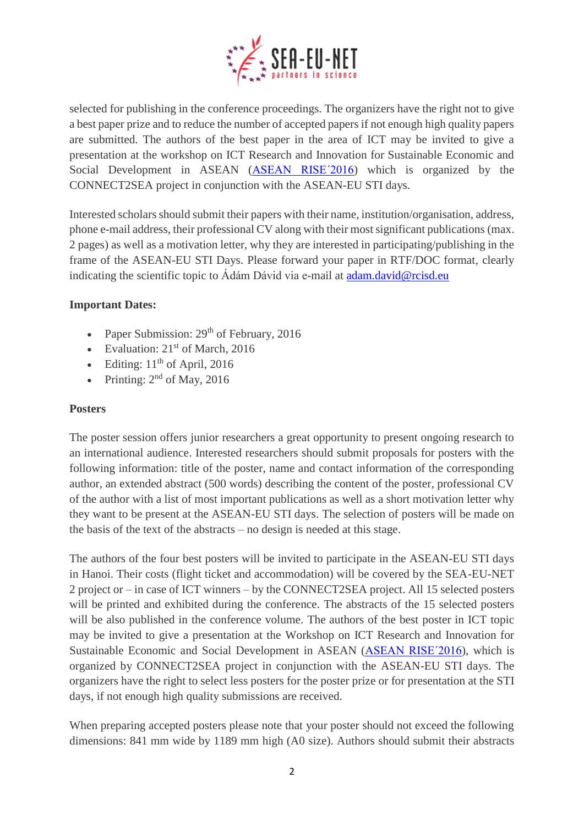

selected for publishing in the conference proceedings. The organizers have the right not to give a best paper prize and to reduce the number of accepted papers if not enough high quality papers are submitted. The authors of the best paper in the area of ICT may be invited to give a presentation at the workshop on ICT Research and Innovation for Sustainable Economic and Social Development in ASEAN [\(ASEAN RISE´2016\)](http://www.connect2sea.eu/news-and-events/events/details/research-and-Innovation-workshop-in-hanoi.html) which is organized by the CONNECT2SEA project in conjunction with the ASEAN-EU STI days.

Interested scholars should submit their papers with their name, institution/organisation, address, phone e-mail address, their professional CV along with their most significant publications (max. 2 pages) as well as a motivation letter, why they are interested in participating/publishing in the frame of the ASEAN-EU STI Days. Please forward your paper in RTF/DOC format, clearly indicating the scientific topic to Ádám Dávid via e-mail at [adam.david@rcisd.eu](mailto:adam.david@rcisd.eu)

## **Important Dates:**

- Paper Submission:  $29<sup>th</sup>$  of February, 2016
- Evaluation:  $21<sup>st</sup>$  of March, 2016
- Editing:  $11<sup>th</sup>$  of April, 2016
- Printing:  $2<sup>nd</sup>$  of May, 2016

## **Posters**

The poster session offers junior researchers a great opportunity to present ongoing research to an international audience. Interested researchers should submit proposals for posters with the following information: title of the poster, name and contact information of the corresponding author, an extended abstract (500 words) describing the content of the poster, professional CV of the author with a list of most important publications as well as a short motivation letter why they want to be present at the ASEAN-EU STI days. The selection of posters will be made on the basis of the text of the abstracts – no design is needed at this stage.

The authors of the four best posters will be invited to participate in the ASEAN-EU STI days in Hanoi. Their costs (flight ticket and accommodation) will be covered by the SEA-EU-NET 2 project or – in case of ICT winners – by the CONNECT2SEA project. All 15 selected posters will be printed and exhibited during the conference. The abstracts of the 15 selected posters will be also published in the conference volume. The authors of the best poster in ICT topic may be invited to give a presentation at the Workshop on ICT Research and Innovation for Sustainable Economic and Social Development in ASEAN [\(ASEAN RISE´2016\)](http://www.connect2sea.eu/news-and-events/events/details/research-and-Innovation-workshop-in-hanoi.html), which is organized by CONNECT2SEA project in conjunction with the ASEAN-EU STI days. The organizers have the right to select less posters for the poster prize or for presentation at the STI days, if not enough high quality submissions are received.

When preparing accepted posters please note that your poster should not exceed the following dimensions: 841 mm wide by 1189 mm high (A0 size). Authors should submit their abstracts